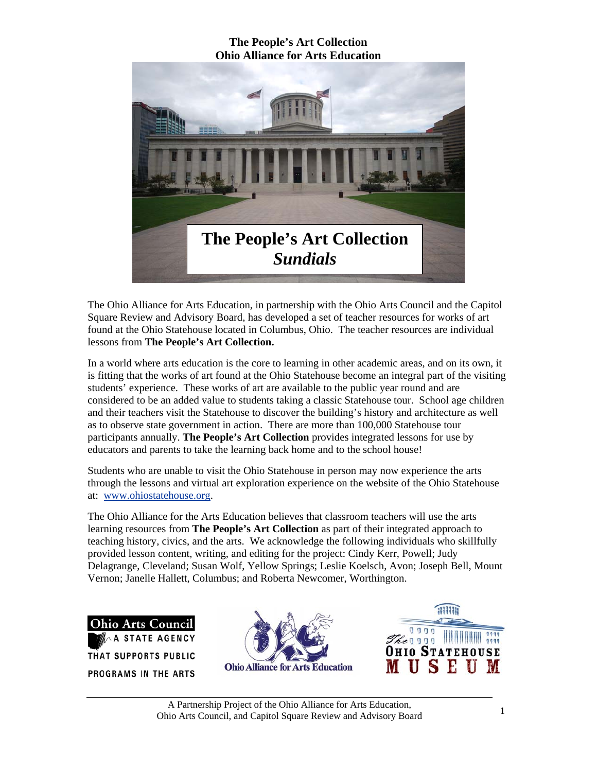

The Ohio Alliance for Arts Education, in partnership with the Ohio Arts Council and the Capitol Square Review and Advisory Board, has developed a set of teacher resources for works of art found at the Ohio Statehouse located in Columbus, Ohio. The teacher resources are individual lessons from **The People's Art Collection.** 

In a world where arts education is the core to learning in other academic areas, and on its own, it is fitting that the works of art found at the Ohio Statehouse become an integral part of the visiting students' experience. These works of art are available to the public year round and are considered to be an added value to students taking a classic Statehouse tour. School age children and their teachers visit the Statehouse to discover the building's history and architecture as well as to observe state government in action. There are more than 100,000 Statehouse tour participants annually. **The People's Art Collection** provides integrated lessons for use by educators and parents to take the learning back home and to the school house!

Students who are unable to visit the Ohio Statehouse in person may now experience the arts through the lessons and virtual art exploration experience on the website of the Ohio Statehouse at: www.ohiostatehouse.org.

The Ohio Alliance for the Arts Education believes that classroom teachers will use the arts learning resources from **The People's Art Collection** as part of their integrated approach to teaching history, civics, and the arts. We acknowledge the following individuals who skillfully provided lesson content, writing, and editing for the project: Cindy Kerr, Powell; Judy Delagrange, Cleveland; Susan Wolf, Yellow Springs; Leslie Koelsch, Avon; Joseph Bell, Mount Vernon; Janelle Hallett, Columbus; and Roberta Newcomer, Worthington.

Ohio Arts Council ATE AGENCY THAT SUPPORTS PUBLIC PROGRAMS IN THE ARTS



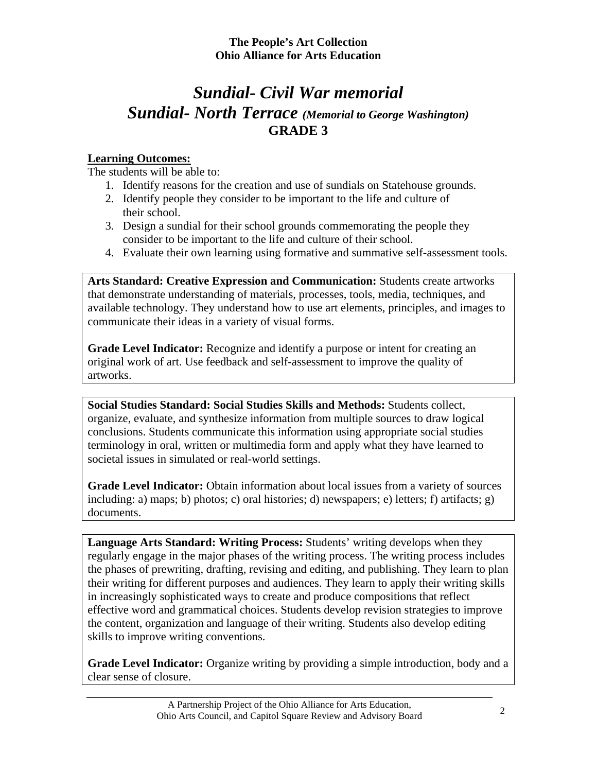## *Sundial- Civil War memorial Sundial- North Terrace (Memorial to George Washington)*  **GRADE 3**

### **Learning Outcomes:**

The students will be able to:

- 1. Identify reasons for the creation and use of sundials on Statehouse grounds.
- 2. Identify people they consider to be important to the life and culture of their school.
- 3. Design a sundial for their school grounds commemorating the people they consider to be important to the life and culture of their school.
- 4. Evaluate their own learning using formative and summative self-assessment tools.

**Arts Standard: Creative Expression and Communication:** Students create artworks that demonstrate understanding of materials, processes, tools, media, techniques, and available technology. They understand how to use art elements, principles, and images to communicate their ideas in a variety of visual forms.

**Grade Level Indicator:** Recognize and identify a purpose or intent for creating an original work of art. Use feedback and self-assessment to improve the quality of artworks.

**Social Studies Standard: Social Studies Skills and Methods:** Students collect, organize, evaluate, and synthesize information from multiple sources to draw logical conclusions. Students communicate this information using appropriate social studies terminology in oral, written or multimedia form and apply what they have learned to societal issues in simulated or real-world settings.

**Grade Level Indicator:** Obtain information about local issues from a variety of sources including: a) maps; b) photos; c) oral histories; d) newspapers; e) letters; f) artifacts; g) documents.

**Language Arts Standard: Writing Process:** Students' writing develops when they regularly engage in the major phases of the writing process. The writing process includes the phases of prewriting, drafting, revising and editing, and publishing. They learn to plan their writing for different purposes and audiences. They learn to apply their writing skills in increasingly sophisticated ways to create and produce compositions that reflect effective word and grammatical choices. Students develop revision strategies to improve the content, organization and language of their writing. Students also develop editing skills to improve writing conventions.

**Grade Level Indicator:** Organize writing by providing a simple introduction, body and a clear sense of closure.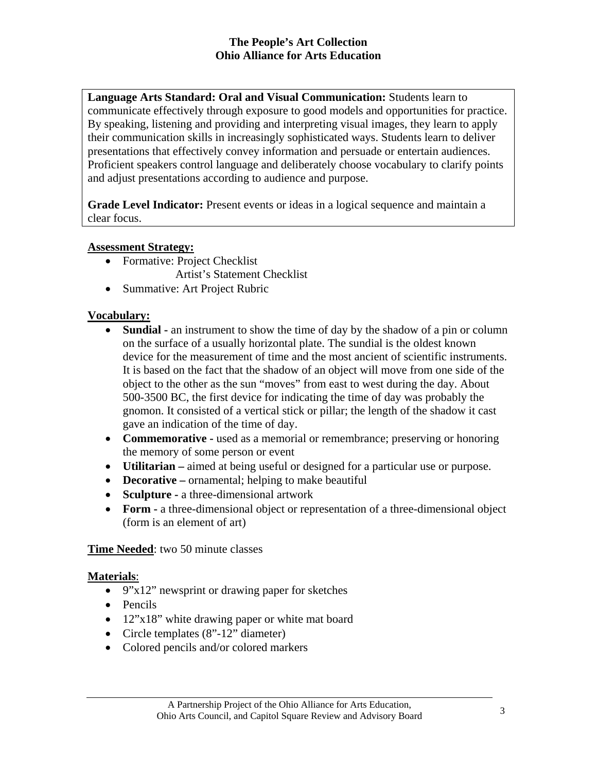**Language Arts Standard: Oral and Visual Communication:** Students learn to communicate effectively through exposure to good models and opportunities for practice. By speaking, listening and providing and interpreting visual images, they learn to apply their communication skills in increasingly sophisticated ways. Students learn to deliver presentations that effectively convey information and persuade or entertain audiences. Proficient speakers control language and deliberately choose vocabulary to clarify points and adjust presentations according to audience and purpose.

**Grade Level Indicator:** Present events or ideas in a logical sequence and maintain a clear focus.

#### **Assessment Strategy:**

- Formative: Project Checklist
	- Artist's Statement Checklist
- Summative: Art Project Rubric

#### **Vocabulary:**

- **Sundial** an instrument to show the time of day by the shadow of a pin or column on the surface of a usually horizontal plate. The sundial is the oldest known device for the measurement of time and the most ancient of scientific instruments. It is based on the fact that the shadow of an object will move from one side of the object to the other as the sun "moves" from east to west during the day. About 500-3500 BC, the first device for indicating the time of day was probably the gnomon. It consisted of a vertical stick or pillar; the length of the shadow it cast gave an indication of the time of day.
- **Commemorative used as a memorial or remembrance; preserving or honoring** the memory of some person or event
- **Utilitarian –** aimed at being useful or designed for a particular use or purpose.
- **Decorative –** ornamental; helping to make beautiful
- **Sculpture -** a three-dimensional artwork
- **Form -** a three-dimensional object or representation of a three-dimensional object (form is an element of art)

#### **Time Needed**: two 50 minute classes

#### **Materials**:

- 9"x12" newsprint or drawing paper for sketches
- Pencils
- 12"x18" white drawing paper or white mat board
- Circle templates  $(8^{\degree}$ -12" diameter)
- Colored pencils and/or colored markers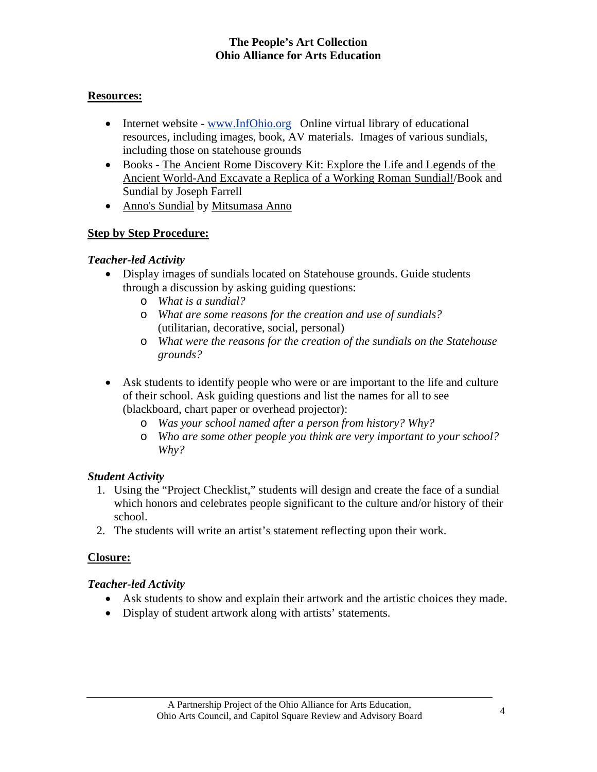#### **Resources:**

- Internet website www.InfOhio.org Online virtual library of educational resources, including images, book, AV materials. Images of various sundials, including those on statehouse grounds
- Books The Ancient Rome Discovery Kit: Explore the Life and Legends of the Ancient World-And Excavate a Replica of a Working Roman Sundial!/Book and Sundial by Joseph Farrell
- Anno's Sundial by Mitsumasa Anno

#### **Step by Step Procedure:**

#### *Teacher-led Activity*

- Display images of sundials located on Statehouse grounds. Guide students through a discussion by asking guiding questions:
	- o *What is a sundial?*
	- o *What are some reasons for the creation and use of sundials?*  (utilitarian, decorative, social, personal)
	- o *What were the reasons for the creation of the sundials on the Statehouse grounds?*
- Ask students to identify people who were or are important to the life and culture of their school. Ask guiding questions and list the names for all to see (blackboard, chart paper or overhead projector):
	- o *Was your school named after a person from history? Why?*
	- o *Who are some other people you think are very important to your school? Why?*

#### *Student Activity*

- 1. Using the "Project Checklist," students will design and create the face of a sundial which honors and celebrates people significant to the culture and/or history of their school.
- 2. The students will write an artist's statement reflecting upon their work.

### **Closure:**

#### *Teacher-led Activity*

- Ask students to show and explain their artwork and the artistic choices they made.
- Display of student artwork along with artists' statements.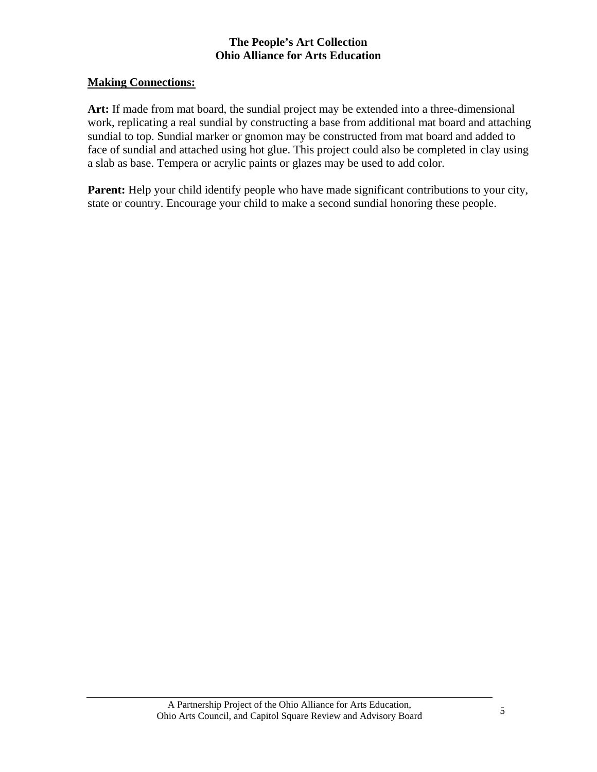#### **Making Connections:**

**Art:** If made from mat board, the sundial project may be extended into a three-dimensional work, replicating a real sundial by constructing a base from additional mat board and attaching sundial to top. Sundial marker or gnomon may be constructed from mat board and added to face of sundial and attached using hot glue. This project could also be completed in clay using a slab as base. Tempera or acrylic paints or glazes may be used to add color.

Parent: Help your child identify people who have made significant contributions to your city, state or country. Encourage your child to make a second sundial honoring these people.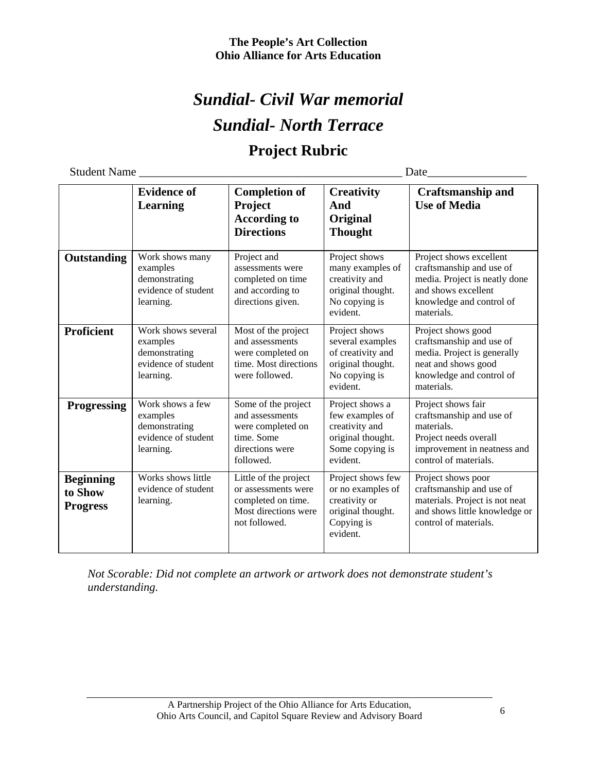# *Sundial- Civil War memorial Sundial- North Terrace* **Project Rubric**

Student Name \_\_\_\_\_\_\_\_\_\_\_\_\_\_\_\_\_\_\_\_\_\_\_\_\_\_\_\_\_\_\_\_\_\_\_\_\_\_\_\_\_\_\_\_\_ Date\_\_\_\_\_\_\_\_\_\_\_\_\_\_\_\_\_

|                                                | <b>Evidence of</b><br><b>Learning</b>                                               | <b>Completion of</b><br>Project<br><b>According to</b><br><b>Directions</b>                                 | <b>Creativity</b><br>And<br>Original<br><b>Thought</b>                                                   | <b>Craftsmanship and</b><br><b>Use of Media</b>                                                                                                       |
|------------------------------------------------|-------------------------------------------------------------------------------------|-------------------------------------------------------------------------------------------------------------|----------------------------------------------------------------------------------------------------------|-------------------------------------------------------------------------------------------------------------------------------------------------------|
| Outstanding                                    | Work shows many<br>examples<br>demonstrating<br>evidence of student<br>learning.    | Project and<br>assessments were<br>completed on time<br>and according to<br>directions given.               | Project shows<br>many examples of<br>creativity and<br>original thought.<br>No copying is<br>evident.    | Project shows excellent<br>craftsmanship and use of<br>media. Project is neatly done<br>and shows excellent<br>knowledge and control of<br>materials. |
| <b>Proficient</b>                              | Work shows several<br>examples<br>demonstrating<br>evidence of student<br>learning. | Most of the project<br>and assessments<br>were completed on<br>time. Most directions<br>were followed.      | Project shows<br>several examples<br>of creativity and<br>original thought.<br>No copying is<br>evident. | Project shows good<br>craftsmanship and use of<br>media. Project is generally<br>neat and shows good<br>knowledge and control of<br>materials.        |
| <b>Progressing</b>                             | Work shows a few<br>examples<br>demonstrating<br>evidence of student<br>learning.   | Some of the project<br>and assessments<br>were completed on<br>time. Some<br>directions were<br>followed.   | Project shows a<br>few examples of<br>creativity and<br>original thought.<br>Some copying is<br>evident. | Project shows fair<br>craftsmanship and use of<br>materials.<br>Project needs overall<br>improvement in neatness and<br>control of materials.         |
| <b>Beginning</b><br>to Show<br><b>Progress</b> | Works shows little<br>evidence of student<br>learning.                              | Little of the project<br>or assessments were<br>completed on time.<br>Most directions were<br>not followed. | Project shows few<br>or no examples of<br>creativity or<br>original thought.<br>Copying is<br>evident.   | Project shows poor<br>craftsmanship and use of<br>materials. Project is not neat<br>and shows little knowledge or<br>control of materials.            |

*Not Scorable: Did not complete an artwork or artwork does not demonstrate student's understanding.*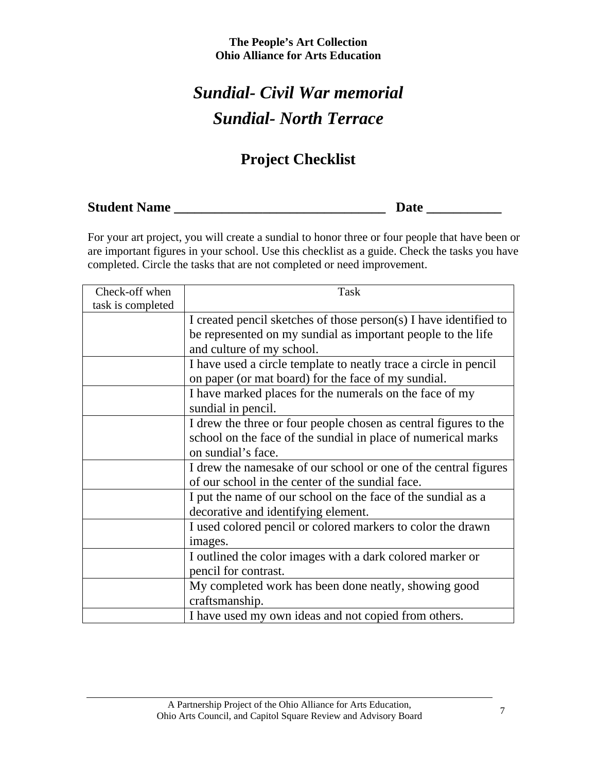# *Sundial- Civil War memorial Sundial- North Terrace*

## **Project Checklist**

**Student Name \_\_\_\_\_\_\_\_\_\_\_\_\_\_\_\_\_\_\_\_\_\_\_\_\_\_\_\_\_\_\_ Date \_\_\_\_\_\_\_\_\_\_\_** 

For your art project, you will create a sundial to honor three or four people that have been or are important figures in your school. Use this checklist as a guide. Check the tasks you have completed. Circle the tasks that are not completed or need improvement.

| Check-off when    | Task                                                              |  |
|-------------------|-------------------------------------------------------------------|--|
| task is completed |                                                                   |  |
|                   | I created pencil sketches of those person(s) I have identified to |  |
|                   | be represented on my sundial as important people to the life      |  |
|                   | and culture of my school.                                         |  |
|                   | I have used a circle template to neatly trace a circle in pencil  |  |
|                   | on paper (or mat board) for the face of my sundial.               |  |
|                   | I have marked places for the numerals on the face of my           |  |
|                   | sundial in pencil.                                                |  |
|                   | I drew the three or four people chosen as central figures to the  |  |
|                   | school on the face of the sundial in place of numerical marks     |  |
|                   | on sundial's face.                                                |  |
|                   | I drew the namesake of our school or one of the central figures   |  |
|                   | of our school in the center of the sundial face.                  |  |
|                   | I put the name of our school on the face of the sundial as a      |  |
|                   | decorative and identifying element.                               |  |
|                   | I used colored pencil or colored markers to color the drawn       |  |
|                   | images.                                                           |  |
|                   | I outlined the color images with a dark colored marker or         |  |
|                   | pencil for contrast.                                              |  |
|                   | My completed work has been done neatly, showing good              |  |
|                   | craftsmanship.                                                    |  |
|                   | I have used my own ideas and not copied from others.              |  |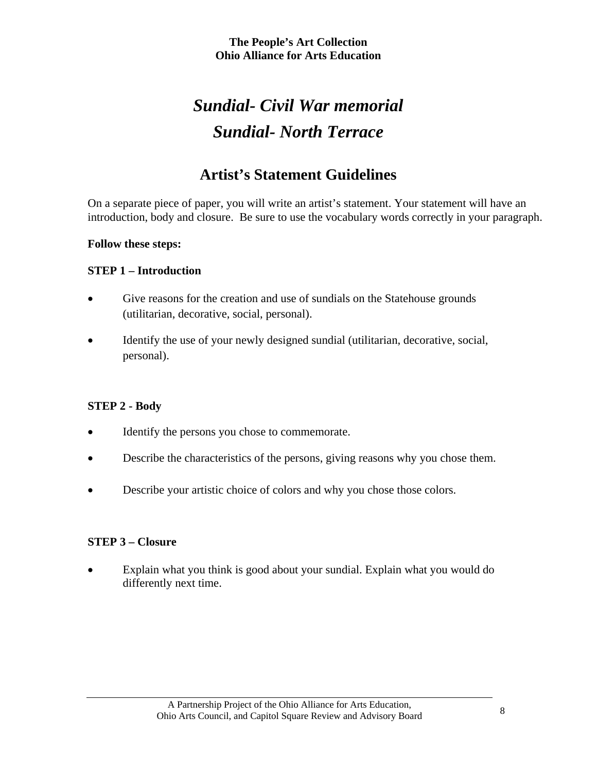# *Sundial- Civil War memorial Sundial- North Terrace*

## **Artist's Statement Guidelines**

On a separate piece of paper, you will write an artist's statement. Your statement will have an introduction, body and closure. Be sure to use the vocabulary words correctly in your paragraph.

#### **Follow these steps:**

#### **STEP 1 – Introduction**

- Give reasons for the creation and use of sundials on the Statehouse grounds (utilitarian, decorative, social, personal).
- Identify the use of your newly designed sundial (utilitarian, decorative, social, personal).

#### **STEP 2 - Body**

- Identify the persons you chose to commemorate.
- Describe the characteristics of the persons, giving reasons why you chose them.
- Describe your artistic choice of colors and why you chose those colors.

#### **STEP 3 – Closure**

• Explain what you think is good about your sundial. Explain what you would do differently next time.